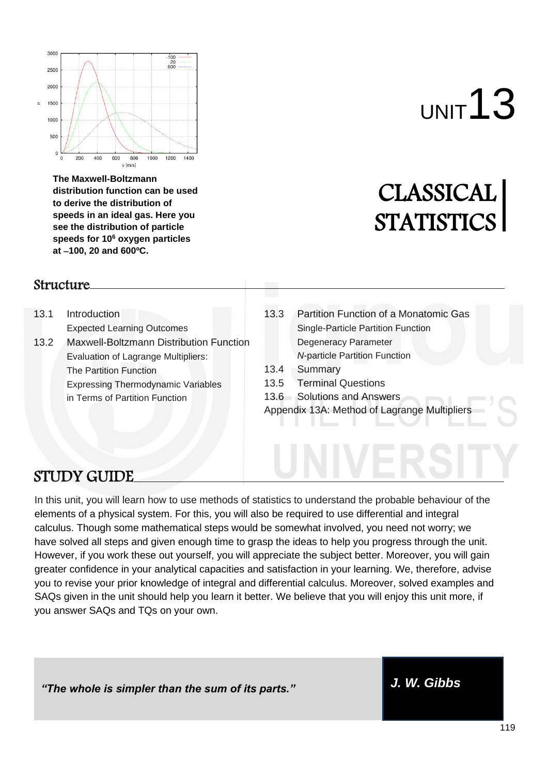

**The Maxwell-Boltzmann distribution function can be used to derive the distribution of speeds in an ideal gas. Here you see the distribution of particle speeds for 10<sup>6</sup> oxygen particles at** −**100, 20 and 600ºC.**

#### Structure

- 13.1 Introduction Expected Learning Outcomes
- 13.2 Maxwell-Boltzmann Distribution Function Evaluation of Lagrange Multipliers: The Partition Function Expressing Thermodynamic Variables in Terms of Partition Function

# UNIT<sup>13</sup>

# CLASSICAL **STATISTICS**

- 13.3 Partition Function of a Monatomic Gas Single-Particle Partition Function Degeneracy Parameter *N*-particle Partition Function
- 13.4 Summary
- 13.5 Terminal Questions
- 13.6 Solutions and Answers
- Appendix 13A: Method of Lagrange Multipliers

# STUDY GUIDE

In this unit, you will learn how to use methods of statistics to understand the probable behaviour of the elements of a physical system. For this, you will also be required to use differential and integral calculus. Though some mathematical steps would be somewhat involved, you need not worry; we have solved all steps and given enough time to grasp the ideas to help you progress through the unit. However, if you work these out yourself, you will appreciate the subject better. Moreover, you will gain greater confidence in your analytical capacities and satisfaction in your learning. We, therefore, advise you to revise your prior knowledge of integral and differential calculus. Moreover, solved examples and SAQs given in the unit should help you learn it better. We believe that you will enjoy this unit more, if you answer SAQs and TQs on your own.

*"The whole is simpler than the sum of its parts." J. W. Gibbs*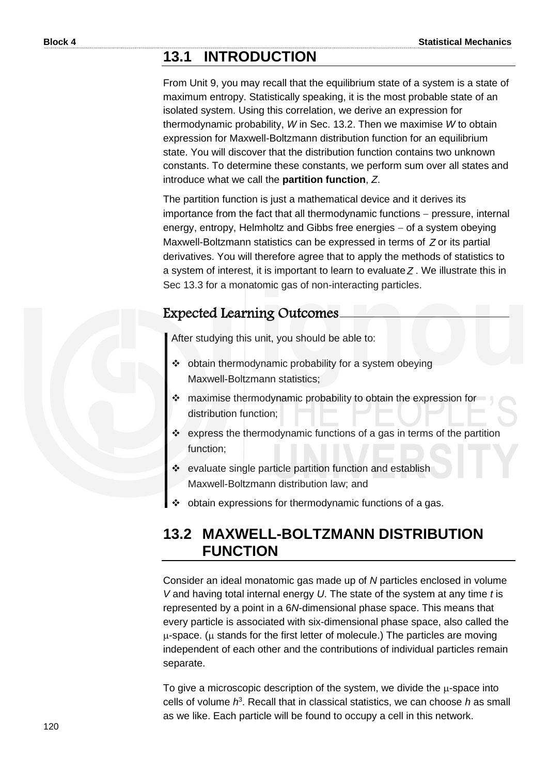# **13.1 INTRODUCTION**

From Unit 9, you may recall that the equilibrium state of a system is a state of maximum entropy. Statistically speaking, it is the most probable state of an isolated system. Using this correlation, we derive an expression for thermodynamic probability, *W* in Sec. 13.2. Then we maximise *W* to obtain expression for Maxwell-Boltzmann distribution function for an equilibrium state. You will discover that the distribution function contains two unknown constants. To determine these constants, we perform sum over all states and introduce what we call the **partition function**, *Z*.

The partition function is just a mathematical device and it derives its importance from the fact that all thermodynamic functions − pressure, internal energy, entropy, Helmholtz and Gibbs free energies – of a system obeying Maxwell-Boltzmann statistics can be expressed in terms of *Z* or its partial derivatives. You will therefore agree that to apply the methods of statistics to a system of interest, it is important to learn to evaluate *Z* . We illustrate this in Sec 13.3 for a monatomic gas of non-interacting particles.

#### Expected Learning Outcomes

After studying this unit, you should be able to:

- ❖ obtain thermodynamic probability for a system obeying Maxwell-Boltzmann statistics;
- ❖ maximise thermodynamic probability to obtain the expression for distribution function;
- ❖ express the thermodynamic functions of a gas in terms of the partition function;
- ❖ evaluate single particle partition function and establish Maxwell-Boltzmann distribution law; and
- ❖ obtain expressions for thermodynamic functions of a gas.

# **13.2 MAXWELL-BOLTZMANN DISTRIBUTION FUNCTION**

Consider an ideal monatomic gas made up of *N* particles enclosed in volume *V* and having total internal energy *U*. The state of the system at any time *t* is represented by a point in a 6*N*-dimensional phase space. This means that every particle is associated with six-dimensional phase space, also called the  $\mu$ -space. ( $\mu$  stands for the first letter of molecule.) The particles are moving independent of each other and the contributions of individual particles remain separate.

To give a microscopic description of the system, we divide the  $\mu$ -space into cells of volume *h* 3 . Recall that in classical statistics, we can choose *h* as small as we like. Each particle will be found to occupy a cell in this network.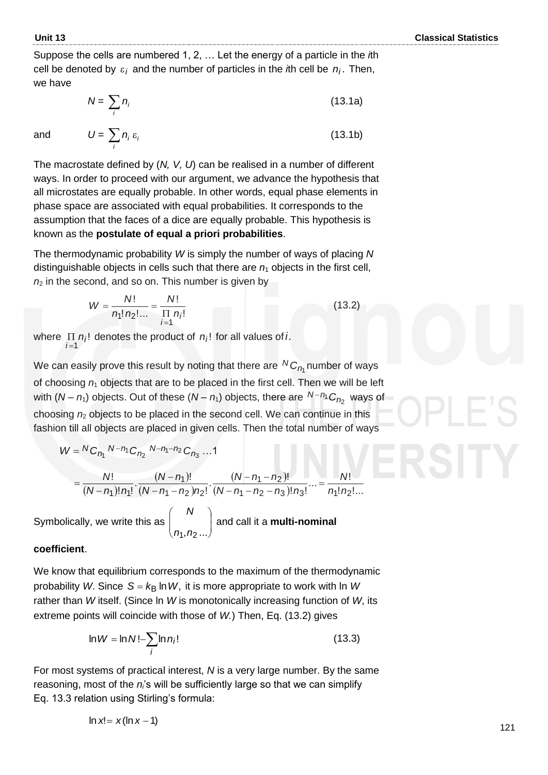(13.1b)

Suppose the cells are numbered 1, 2, … Let the energy of a particle in the *i*th cell be denoted by  $\varepsilon_i$  and the number of particles in the *i*th cell be  $n_i$ . Then, we have

$$
N = \sum_{i} n_i \tag{13.1a}
$$

and  $U = \sum n_i \varepsilon_i$ 

The macrostate defined by (*N, V, U*) can be realised in a number of different ways. In order to proceed with our argument, we advance the hypothesis that all microstates are equally probable. In other words, equal phase elements in phase space are associated with equal probabilities. It corresponds to the assumption that the faces of a dice are equally probable. This hypothesis is known as the **postulate of equal a priori probabilities**.

The thermodynamic probability *W* is simply the number of ways of placing *N*  distinguishable objects in cells such that there are  $n_1$  objects in the first cell,  $n<sub>2</sub>$  in the second, and so on. This number is given by

$$
W = \frac{N!}{n_1! n_2! \dots} = \frac{N!}{\prod\limits_{j=1}^{N} n_j!}
$$
 (13.2)

where  $\Pi$   $n_i!$  denotes the product of  $n_i!$  for all values of *i*. *i*=1

 $\sum_i n_i$  ε

We can easily prove this result by noting that there are  $^N C_{\rho_{\rm I}}$  number of ways of choosing *n*<sup>1</sup> objects that are to be placed in the first cell. Then we will be left with (*N* − *n*<sub>1</sub>) objects. Out of these (*N* − *n*<sub>1</sub>) objects, there are <sup>*N*−*n*<sub>1</sub> C<sub>*n*<sub>2</sub></sub> ways of</sup> choosing *n*<sup>2</sup> objects to be placed in the second cell. We can continue in this fashion till all objects are placed in given cells. Then the total number of ways

$$
W = {}^{N}C_{n_1} {}^{N-n_1}C_{n_2} {}^{N-n_1-n_2}C_{n_3} ... 1
$$
  
= 
$$
\frac{N!}{(N-n_1)! n_1!} \cdot \frac{(N-n_1)!}{(N-n_1-n_2) n_2!} \cdot \frac{(N-n_1-n_2)!}{(N-n_1-n_2-n_3)! n_3!} ... = \frac{N!}{n_1! n_2! ...}
$$

Symbolically, we write this as  $\Big|$   $\Big|$   $\Big|$   $\Big|$   $\Big|$ J J  $\setminus$ I I  $\overline{\mathcal{L}}$ ſ  $n_1, n_2 ...$ *N* and call it a **multi-nominal** 

#### **coefficient**.

We know that equilibrium corresponds to the maximum of the thermodynamic probability *W*. Since S =  $k$ <sub>B</sub> In *W*, it is more appropriate to work with In *W* rather than *W* itself. (Since ln *W* is monotonically increasing function of *W*, its extreme points will coincide with those of *W.*) Then, Eq. (13.2) gives

$$
\ln W = \ln N! - \sum_{i} \ln n_i!
$$
 (13.3)

For most systems of practical interest, *N* is a very large number. By the same reasoning, most of the *ni*'s will be sufficiently large so that we can simplify Eq. 13.3 relation using Stirling's formula:

$$
\ln x! = x(\ln x - 1)
$$

121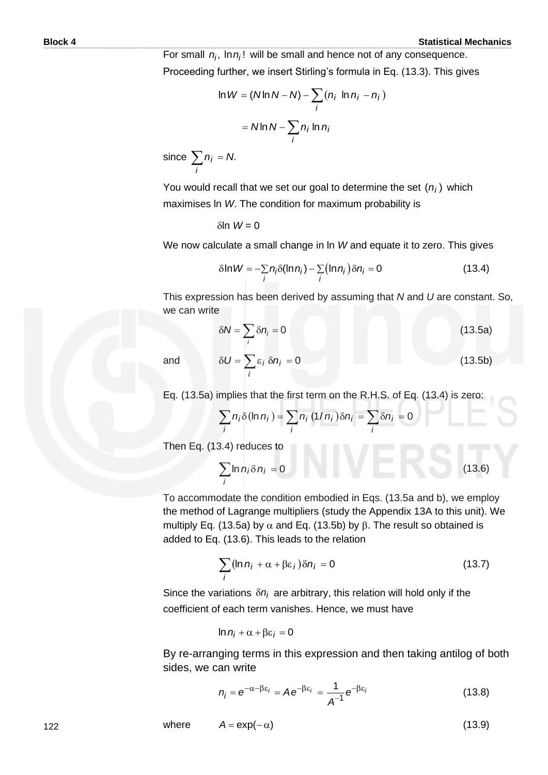For small  $n_i$ ,  $\ln n_i!$  will be small and hence not of any consequence. Proceeding further, we insert Stirling's formula in Eq. (13.3). This gives

$$
\ln W = (N \ln N - N) - \sum_{i} (n_i \ln n_i - n_i)
$$

$$
= N \ln N - \sum_{i} n_i \ln n_i
$$

since 
$$
\sum_{i} n_i = N
$$
.

You would recall that we set our goal to determine the set  $(n_i)$  which maximises ln *W*. The condition for maximum probability is

 $\delta$ ln  $W = 0$ 

We now calculate a small change in In *W* and equate it to zero. This gives  
\n
$$
\delta \ln W = -\sum_{i} n_i \delta(\ln n_i) - \sum_{i} (\ln n_i) \delta n_i = 0
$$
\n(13.4)

This expression has been derived by assuming that *N* and *U* are constant. So, we can write

$$
\delta N = \sum_{i} \delta n_i = 0 \tag{13.5a}
$$

and

$$
\delta U = \sum_{i} \varepsilon_{i} \, \delta n_{i} = 0 \tag{13.5b}
$$

Eq. (13.5a) implies that the first term on the R.H.S. of Eq. (13.4) is zero:  
\n
$$
\sum_{i} n_i \delta(\ln n_i) = \sum_{i} n_i (1/n_i) \delta n_i = \sum_{i} \delta n_i = 0
$$

Then Eq. (13.4) reduces to

$$
\sum_{i} \ln n_i \delta n_i = 0 \tag{13.6}
$$

To accommodate the condition embodied in Eqs. (13.5a and b), we employ the method of Lagrange multipliers (study the Appendix 13A to this unit). We multiply Eq. (13.5a) by  $\alpha$  and Eq. (13.5b) by  $\beta$ . The result so obtained is added to Eq. (13.6). This leads to the relation

$$
\sum_{i} (\ln n_i + \alpha + \beta \varepsilon_i) \delta n_i = 0 \tag{13.7}
$$

Since the variations  $\delta n_i$  are arbitrary, this relation will hold only if the coefficient of each term vanishes. Hence, we must have

$$
\ln n_i + \alpha + \beta \varepsilon_i = 0
$$

By re-arranging terms in this expression and then taking antilog of both sides, we can write

$$
n_i = e^{-\alpha - \beta \epsilon_i} = A e^{-\beta \epsilon_i} = \frac{1}{A^{-1}} e^{-\beta \epsilon_i}
$$
 (13.8)

where  $A = \exp(-\alpha)$  (13.9)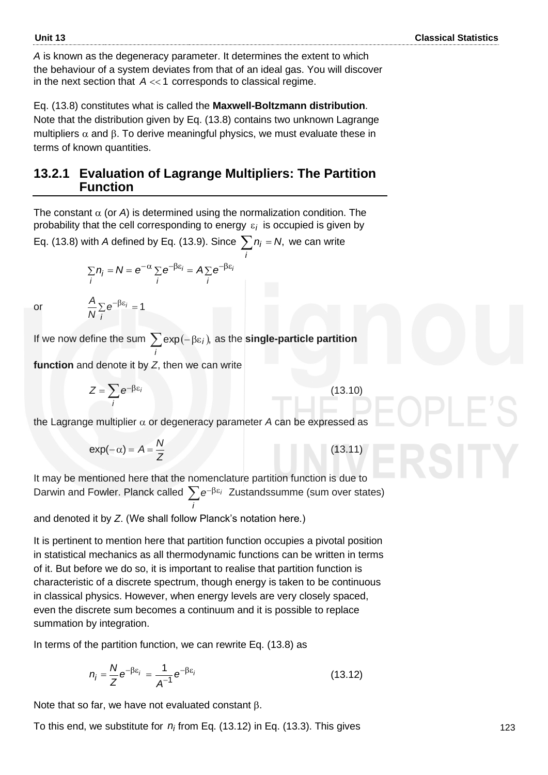*A* is known as the degeneracy parameter. It determines the extent to which the behaviour of a system deviates from that of an ideal gas. You will discover in the next section that  $\,A << 1 \,$  corresponds to classical regime.

Eq. (13.8) constitutes what is called the **Maxwell-Boltzmann distribution**. Note that the distribution given by Eq. (13.8) contains two unknown Lagrange multipliers  $\alpha$  and  $\beta$ . To derive meaningful physics, we must evaluate these in terms of known quantities.

#### **13.2.1 Evaluation of Lagrange Multipliers: The Partition Function**

The constant  $\alpha$  (or *A*) is determined using the normalization condition. The probability that the cell corresponding to energy *i* is occupied is given by

Eq. (13.8) with *A* defined by Eq. (13.9). Since  $\sum n_i = N$ , we can write *i*

$$
\sum_{i} n_{i} = N = e^{-\alpha} \sum_{i} e^{-\beta \varepsilon_{i}} = A \sum_{i} e^{-\beta \varepsilon_{i}}
$$

or

If we now define the sum  $\sum \exp(-\beta \varepsilon_i)$ , as the **single-particle partition** *i*

**function** and denote it by *Z*, then we can write

 $\sum e^{-\beta \epsilon_i} = 1$ 

*i A e N*

$$
Z = \sum_{i} e^{-\beta \varepsilon_{i}}
$$
 (13.10)

the Lagrange multiplier  $\alpha$  or degeneracy parameter A can be expressed as

$$
\exp(-\alpha) = A = \frac{N}{Z}
$$
 (13.11)

It may be mentioned here that the nomenclature partition function is due to Darwin and Fowler. Planck called  $\sum e^{-\beta \epsilon_i}$  Zustandssumme (sum over states) *i*

and denoted it by *Z*. (We shall follow Planck's notation here.)

It is pertinent to mention here that partition function occupies a pivotal position in statistical mechanics as all thermodynamic functions can be written in terms of it. But before we do so, it is important to realise that partition function is characteristic of a discrete spectrum, though energy is taken to be continuous in classical physics. However, when energy levels are very closely spaced, even the discrete sum becomes a continuum and it is possible to replace summation by integration.

In terms of the partition function, we can rewrite Eq. (13.8) as

$$
n_i = \frac{N}{Z} e^{-\beta \varepsilon_i} = \frac{1}{A^{-1}} e^{-\beta \varepsilon_i}
$$
 (13.12)

Note that so far, we have not evaluated constant  $\beta$ .

To this end, we substitute for *ni* from Eq. (13.12) in Eq. (13.3). This gives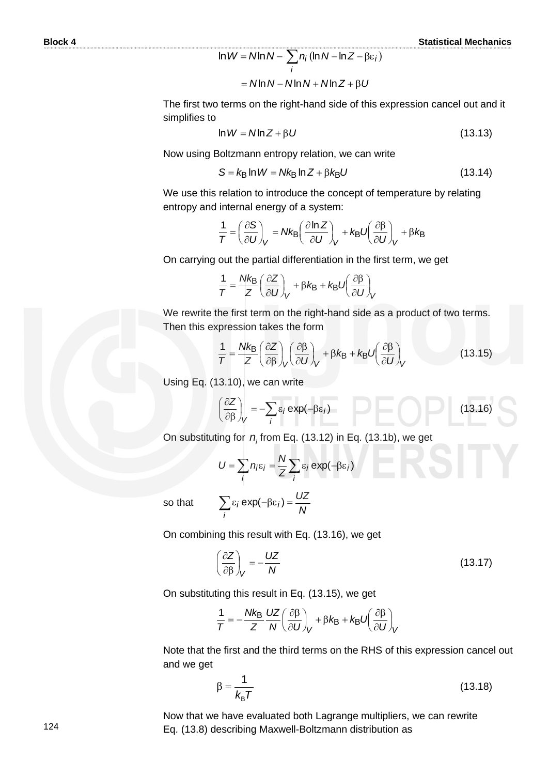$$
\ln W = N \ln N - \sum_{i} n_i (\ln N - \ln Z - \beta \varepsilon_i)
$$

$$
= N \ln N - N \ln N + N \ln Z + \beta U
$$

The first two terms on the right-hand side of this expression cancel out and it simplifies to

$$
\ln W = N \ln Z + \beta U \tag{13.13}
$$

Now using Boltzmann entropy relation, we can write

$$
S = k_{\text{B}} \ln W = Nk_{\text{B}} \ln Z + \beta k_{\text{B}} U \tag{13.14}
$$

We use this relation to introduce the concept of temperature by relating entropy and internal energy of a system:

$$
\frac{1}{T} = \left(\frac{\partial S}{\partial U}\right)_V = Nk_B \left(\frac{\partial \ln Z}{\partial U}\right)_V + k_B U \left(\frac{\partial \beta}{\partial U}\right)_V + \beta k_B
$$

On carrying out the partial differentiation in the first term, we get

$$
\frac{1}{T} = \frac{Nk_B}{Z} \left( \frac{\partial Z}{\partial U} \right)_V + \beta k_B + k_B U \left( \frac{\partial \beta}{\partial U} \right)_V
$$

We rewrite the first term on the right-hand side as a product of two terms. Then this expression takes the form

$$
\frac{1}{T} = \frac{Nk_{\text{B}}}{Z} \left( \frac{\partial Z}{\partial \beta} \right)_{V} \left( \frac{\partial \beta}{\partial U} \right)_{V} + \beta k_{\text{B}} + k_{\text{B}} U \left( \frac{\partial \beta}{\partial U} \right)_{V}
$$
(13.15)

Using Eq. (13.10), we can write

$$
\left(\frac{\partial Z}{\partial \beta}\right)_V = -\sum_i \varepsilon_i \exp(-\beta \varepsilon_i)
$$
 (13.16)

On substituting for *ni* from Eq. (13.12) in Eq. (13.1b), we get

$$
U = \sum_{i} n_i \varepsilon_i = \frac{N}{Z} \sum_{i} \varepsilon_i \exp(-\beta \varepsilon_i)
$$

so that

$$
\sum_i \varepsilon_i \exp(-\beta \varepsilon_i) = \frac{UZ}{N}
$$

On combining this result with Eq. (13.16), we get

$$
\left(\frac{\partial Z}{\partial \beta}\right)_V = -\frac{UZ}{N} \tag{13.17}
$$

On substituting this result in Eq. (13.15), we get

$$
\frac{1}{T} = -\frac{Nk_B}{Z} \frac{UZ}{N} \left(\frac{\partial \beta}{\partial U}\right)_V + \beta k_B + k_B U \left(\frac{\partial \beta}{\partial U}\right)_V
$$

Note that the first and the third terms on the RHS of this expression cancel out and we get

$$
\beta = \frac{1}{k_{\text{B}}T} \tag{13.18}
$$

Now that we have evaluated both Lagrange multipliers, we can rewrite Eq. (13.8) describing Maxwell-Boltzmann distribution as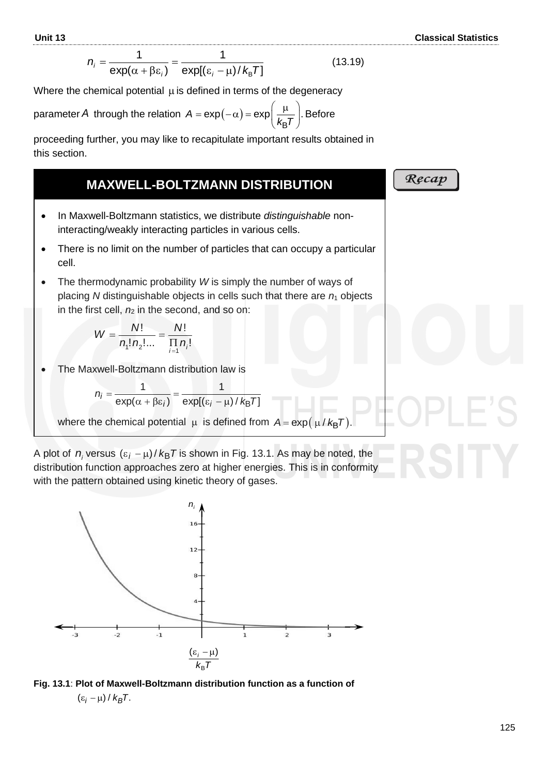$$
n_i = \frac{1}{\exp(\alpha + \beta \varepsilon_i)} = \frac{1}{\exp[(\varepsilon_i - \mu)/k_B T]}
$$
(13.19)

Where the chemical potential  $\mu$  is defined in terms of the degeneracy

parameter A through the relation  $A = \exp(-\alpha) = \exp\left(\frac{\mu}{k_B T}\right)$ . Be  $\left(\frac{\mu}{k_{\text{B}}T}\right)$ . Before

proceeding further, you may like to recapitulate important results obtained in this section.

#### **MAXWELL-BOLTZMANN DISTRIBUTION**

- In Maxwell-Boltzmann statistics, we distribute *distinguishable* noninteracting/weakly interacting particles in various cells.
- There is no limit on the number of particles that can occupy a particular cell.
- The thermodynamic probability *W* is simply the number of ways of placing *N* distinguishable objects in cells such that there are  $n_1$  objects in the first cell,  $n_2$  in the second, and so on:

$$
W = \frac{N!}{n_1! n_2! \dots} = \frac{N!}{\prod_{i=1}^N n_i!}
$$

• The Maxwell-Boltzmann distribution law is

$$
n_i = \frac{1}{\exp(\alpha + \beta \varepsilon_i)} = \frac{1}{\exp[(\varepsilon_i - \mu)/k_B T]}
$$

where the chemical potential  $\,\mu\,$  is defined from  $\,A\!=\!\exp(\,\mu\,/\,k_{\textsf{\scriptsize B}}\mathcal{T}).\,$ 

A plot of  $n_i$  versus  $(\varepsilon_i - \mu)/\,k_\text{B}\mathcal{T}$  is shown in Fig. 13.1. As may be noted, the distribution function approaches zero at higher energies. This is in conformity with the pattern obtained using kinetic theory of gases.





### Recap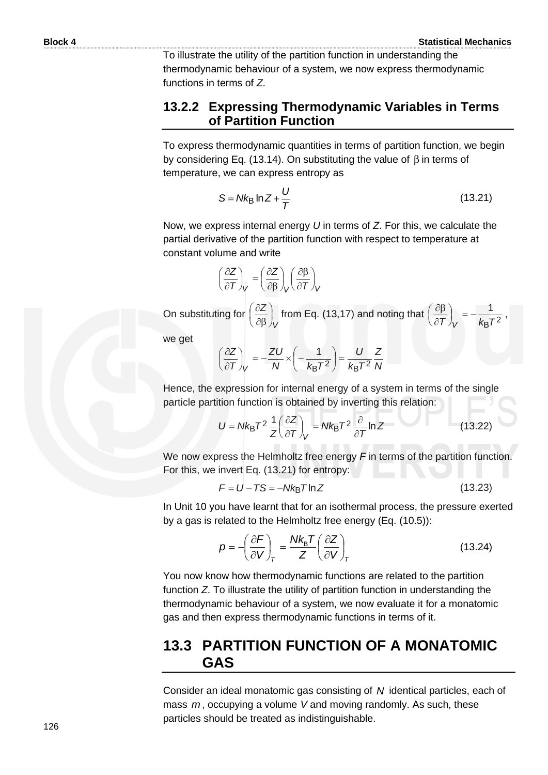To illustrate the utility of the partition function in understanding the thermodynamic behaviour of a system, we now express thermodynamic functions in terms of *Z*.

#### **13.2.2 Expressing Thermodynamic Variables in Terms of Partition Function**

To express thermodynamic quantities in terms of partition function, we begin by considering Eq. (13.14). On substituting the value of  $\beta$  in terms of temperature, we can express entropy as

$$
S = Nk_B \ln Z + \frac{U}{T}
$$
 (13.21)

Now, we express internal energy *U* in terms of *Z*. For this, we calculate the partial derivative of the partition function with respect to temperature at constant volume and write

$$
\left(\frac{\partial Z}{\partial T}\right)_V = \left(\frac{\partial Z}{\partial \beta}\right)_V \left(\frac{\partial \beta}{\partial T}\right)_V
$$

On substituting for *V Z*  $\bigg)$  $\left(\frac{\partial Z}{\partial \rho}\right)$  $\overline{\mathcal{L}}$ ſ  $\partial \beta$  $\left(\frac{\partial Z}{\partial \rho}\right)$  from Eq. (13,17) and noting that

$$
\left(\frac{\partial \beta}{\partial T}\right)_V = -\frac{1}{k_B T^2},
$$

ſ  $\widehat{c}$  $\partial \beta$ 

we get

$$
\left(\frac{\partial Z}{\partial T}\right)_V = -\frac{ZU}{N} \times \left(-\frac{1}{k_B T^2}\right) = \frac{U}{k_B T^2} \frac{Z}{N}
$$

Hence, the expression for internal energy of a system in terms of the single particle partition function is obtained by inverting this relation:

$$
U = Nk_{\text{B}}T^{2} \frac{1}{Z} \left(\frac{\partial Z}{\partial T}\right)_{V} = Nk_{\text{B}}T^{2} \frac{\partial}{\partial T} \ln Z \tag{13.22}
$$

We now express the Helmholtz free energy *F* in terms of the partition function. For this, we invert Eq. (13.21) for entropy:

$$
F = U - TS = -Nk_B T \ln Z \tag{13.23}
$$

In Unit 10 you have learnt that for an isothermal process, the pressure exerted by a gas is related to the Helmholtz free energy (Eq. (10.5)):

$$
p = -\left(\frac{\partial F}{\partial V}\right)_T = \frac{Nk_B T}{Z} \left(\frac{\partial Z}{\partial V}\right)_T
$$
 (13.24)

You now know how thermodynamic functions are related to the partition function *Z*. To illustrate the utility of partition function in understanding the thermodynamic behaviour of a system, we now evaluate it for a monatomic gas and then express thermodynamic functions in terms of it.

# **13.3 PARTITION FUNCTION OF A MONATOMIC GAS**

Consider an ideal monatomic gas consisting of *N* identical particles, each of mass m, occupying a volume V and moving randomly. As such, these particles should be treated as indistinguishable.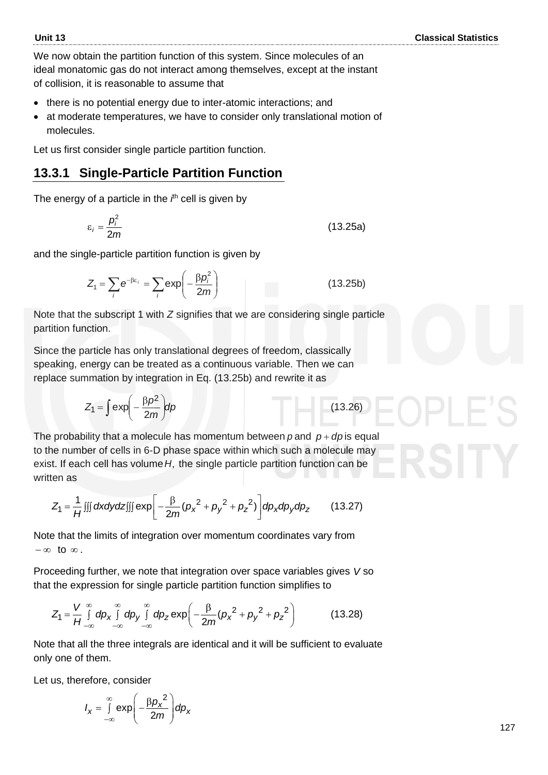We now obtain the partition function of this system. Since molecules of an ideal monatomic gas do not interact among themselves, except at the instant of collision, it is reasonable to assume that

- there is no potential energy due to inter-atomic interactions; and
- at moderate temperatures, we have to consider only translational motion of molecules.

Let us first consider single particle partition function.

# **13.3.1 Single-Particle Partition Function**

The energy of a particle in the *i*<sup>th</sup> cell is given by

$$
\varepsilon_i = \frac{p_i^2}{2m} \tag{13.25a}
$$

and the single-particle partition function is given by

$$
Z_{1} = \sum_{i} e^{-\beta \varepsilon_{i}} = \sum_{i} exp\left(-\frac{\beta \rho_{i}^{2}}{2m}\right)
$$
 (13.25b)

Note that the subscript 1 with *Z* signifies that we are considering single particle partition function.

Since the particle has only translational degrees of freedom, classically speaking, energy can be treated as a continuous variable. Then we can replace summation by integration in Eq. (13.25b) and rewrite it as

$$
Z_1 = \int \exp\left(-\frac{\beta p^2}{2m}\right) dp \tag{13.26}
$$

The probability that a molecule has momentum between  $p$  and  $p + dp$  is equal to the number of cells in 6-D phase space within which such a molecule may exist. If each cell has volume H, the single particle partition function can be written as

then as  
\n
$$
Z_{1} = \frac{1}{H} \iiint dxdydz[1][exp[-\frac{\beta}{2m}(\rho_{x}^{2} + \rho_{y}^{2} + \rho_{z}^{2})]dp_{x}dp_{y}dp_{z}
$$
\n(13.27)

Note that the limits of integration over momentum coordinates vary from  $-\infty$  to  $\infty$ .

Proceeding further, we note that integration over space variables gives *V* so

that the expression for single particle partition function simplifies to  
\n
$$
Z_1 = \frac{V}{H} \int_{-\infty}^{\infty} dp_x \int_{-\infty}^{\infty} dp_y \int_{-\infty}^{\infty} dp_z \exp\left(-\frac{\beta}{2m}(p_x^2 + p_y^2 + p_z^2)\right)
$$
(13.28)

Note that all the three integrals are identical and it will be sufficient to evaluate only one of them.

Let us, therefore, consider

$$
I_{x} = \int_{-\infty}^{\infty} \exp\left(-\frac{\beta p_{x}^{2}}{2m}\right) dp_{x}
$$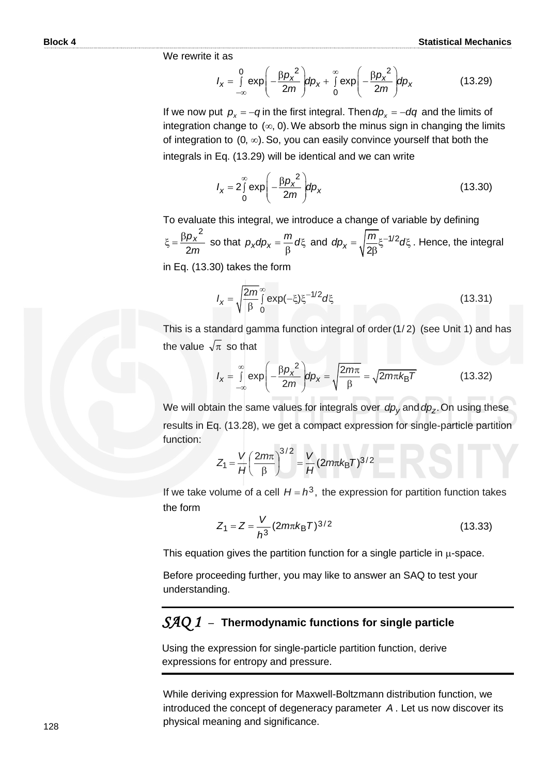We rewrite it as

it as  
\n
$$
I_x = \int_{-\infty}^{0} \exp\left(-\frac{\beta p_x^2}{2m}\right) dp_x + \int_{0}^{\infty} \exp\left(-\frac{\beta p_x^2}{2m}\right) dp_x
$$
\n(13.29)

If we now put  $p_x = -q$  in the first integral. Then  $dp_x = -dq$  and the limits of integration change to  $(\infty, 0)$ . We absorb the minus sign in changing the limits of integration to  $(0, \infty)$ . So, you can easily convince yourself that both the integrals in Eq. (13.29) will be identical and we can write

$$
I_X = 2 \int_0^\infty \exp\left(-\frac{\beta p_X^2}{2m}\right) dp_X
$$
 (13.30)

To evaluate this integral, we introduce a change of variable by defining *m px* 2  $\xi = \frac{\beta \rho_x^2}{2}$  so that  $\rho_x dp_x = \frac{m}{2} d\xi$  $\mu_X$ *a* $\mu_X$  =  $\frac{1}{\beta}$  $p_x dp_x = \frac{m}{a} d\xi$  and  $dp_x = \sqrt{\frac{m}{a} \xi^{-1/2}} d\xi$ . β  $-1/2$  $x = \sqrt{2}$  $dp_x = \sqrt{\frac{m}{\epsilon_0}} \xi^{-1/2} d\xi$ . Hence, the integral

in Eq. (13.30) takes the form

$$
I_{x} = \sqrt{\frac{2m}{\beta}} \int_{0}^{\infty} \exp(-\xi) \xi^{-1/2} d\xi
$$
 (13.31)

This is a standard gamma function integral of order  $(1/2)$  (see Unit 1) and has the value  $\sqrt{\pi}$  so that

$$
\pi \text{ so that}
$$
\n
$$
I_{x} = \int_{-\infty}^{\infty} \exp\left(-\frac{\beta \rho_{x}^{2}}{2m}\right) d\rho_{x} = \sqrt{\frac{2m\pi}{\beta}} = \sqrt{2m\pi k_{B}T}
$$
\n(13.32)

We will obtain the same values for integrals over *dp<sup>y</sup>* and . *dp<sup>z</sup>* On using these results in Eq. (13.28), we get a compact expression for single-particle partition function:

$$
Z_1 = \frac{V}{H} \left(\frac{2m\pi}{\beta}\right)^{3/2} = \frac{V}{H} (2m\pi k_B T)^{3/2}
$$

If we take volume of a cell  $H = h^3$ , the expression for partition function takes the form

$$
Z_1 = Z = \frac{V}{h^3} (2m\pi k_B T)^{3/2}
$$
 (13.33)

This equation gives the partition function for a single particle in  $\mu$ -space.

Before proceeding further, you may like to answer an SAQ to test your understanding.

#### *SAQ 1* –**Thermodynamic functions for single particle**

Using the expression for single-particle partition function, derive expressions for entropy and pressure.

While deriving expression for Maxwell-Boltzmann distribution function, we introduced the concept of degeneracy parameter *A* . Let us now discover its physical meaning and significance.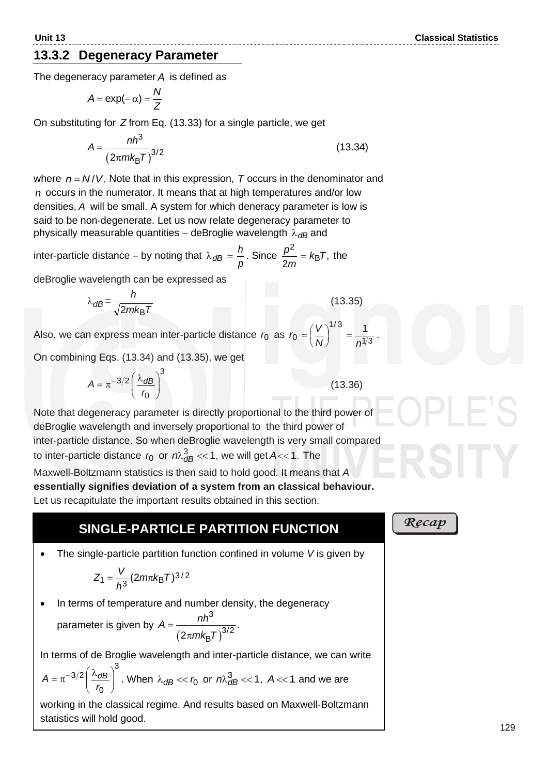#### **13.3.2 Degeneracy Parameter**

The degeneracy parameter *A* is defined as

$$
A = \exp(-\alpha) = \frac{N}{Z}
$$

On substituting for *Z* from Eq. (13.33) for a single particle, we get

$$
A = \frac{nh^3}{(2\pi mk_B T)^{3/2}}
$$
 (13.34)

where  $n = N/V$ . Note that in this expression,  $T$  occurs in the denominator and *n* occurs in the numerator. It means that at high temperatures and/or low densities, *A* will be small. A system for which deneracy parameter is low is said to be non-degenerate. Let us now relate degeneracy parameter to physically measurable quantities – deBroglie wavelength  $\lambda_{\textit{\textbf{dB}}}$  and

inter-particle distance – by noting that  $λ_{dB} = \frac{P}{ρ}$  $\frac{h}{m}$ . Since  $\frac{p^2}{q} = k_B T$ ,  $\frac{1}{2m}$  =  $\kappa_{\rm B}$ 2 *Tk m*  $\frac{p^2}{2} = k_B T$ , the

deBroglie wavelength can be expressed as

$$
\lambda_{dB} = \frac{h}{\sqrt{2mk_{\rm B}T}}
$$

Also, we can express mean inter-particle distance  $r_0$  as  $r_0 = \left(\frac{1}{N}\right)$  =  $\frac{1}{n^{1/3}}$  $r_0 = \left(\frac{V}{N}\right)^{1/3}$ 

On combining Eqs. (13.34) and (13.35), we get

$$
A = \pi^{-3/2} \left(\frac{\lambda_{dB}}{r_0}\right)^3
$$
 (1)

Note that degeneracy parameter is directly proportional to the third power of deBroglie wavelength and inversely proportional to the third power of inter-particle distance. So when deBroglie wavelength is very small compared to inter-particle distance  $r_0$  or  $m_{dB}^3 \ll 1$ , we will get A $<<$  1. The

Maxwell-Boltzmann statistics is then said to hold good. It means that *A*  **essentially signifies deviation of a system from an classical behaviour.** Let us recapitulate the important results obtained in this section.

#### **SINGLE-PARTICLE PARTITION FUNCTION**

• The single-particle partition function confined in volume *V* is given by

$$
Z_1 = \frac{V}{h^3} (2m\pi k_B T)^{3/2}
$$

• In terms of temperature and number density, the degeneracy

parameter is given by 
$$
A = \frac{nh^3}{(2\pi mk_\text{B}T)^{3/2}}
$$

In terms of de Broglie wavelength and inter-particle distance, we can write

.

$$
A = \pi^{-3/2} \left(\frac{\lambda_{dB}}{r_0}\right)^3.
$$
 When  $\lambda_{dB} \ll r_0$  or  $n\lambda_{dB}^3 \ll 1$ ,  $A \ll 1$  and we are

working in the classical regime. And results based on Maxwell-Boltzmann statistics will hold good.

Recap

(13.35)

1

 $1/3$ 

 $\left(\frac{V}{N}\right)$ 

*N n*

 $=\left(\frac{V}{V}\right)^{1/2}=\frac{1}{1/2}$ .

 $(3.36)$ 

 $\overline{0}$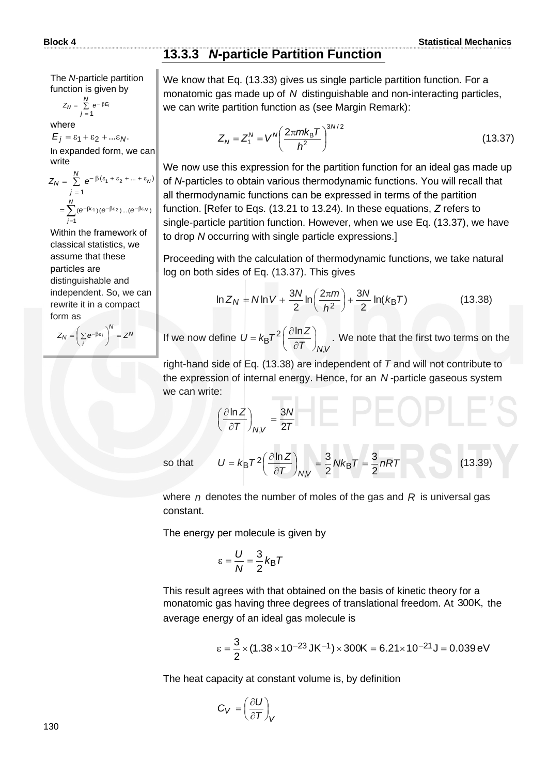#### **13.3.3** *N***-particle Partition Function**

The *N-*particle partition function is given by

$$
Z_N = \sum_{j=1}^N e^{-\beta E_j}
$$

where

 $E_i = \varepsilon_1 + \varepsilon_2 + ... \varepsilon_N$ . In expanded form, we can write

$$
Z_N = \sum_{j=1}^N e^{-\beta(\varepsilon_1 + \varepsilon_2 + \dots + \varepsilon_N)}
$$
  
= 
$$
\sum_{j=1}^N (e^{-\beta \varepsilon_1})(e^{-\beta \varepsilon_2})...(e^{-\beta \varepsilon_N})
$$

Within the framework of classical statistics, we assume that these particles are distinguishable and independent. So, we can rewrite it in a compact form as

 $Z_N = \left(\sum e^{-\beta \epsilon_i}\right)^N = Z^N$  $Z_N = \left( \sum_i e^{-\beta \epsilon_i} \right) = Z$  $\left(\sum_i e^{-\beta \varepsilon_i}\right)$  $\sqrt{\sum_{\mathbf{A}} \beta \epsilon}$ 

We know that Eq. (13.33) gives us single particle partition function. For a monatomic gas made up of N distinguishable and non-interacting particles, we can write partition function as (see Margin Remark):

$$
Z_N = Z_1^N = V^N \left(\frac{2\pi m k_B T}{h^2}\right)^{3N/2}
$$
 (13.37)

We now use this expression for the partition function for an ideal gas made up of *N*-particles to obtain various thermodynamic functions. You will recall that all thermodynamic functions can be expressed in terms of the partition function. [Refer to Eqs. (13.21 to 13.24). In these equations, *Z* refers to single-particle partition function. However, when we use Eq. (13.37), we have to drop *N* occurring with single particle expressions.]

Proceeding with the calculation of thermodynamic functions, we take natural log on both sides of Eq. (13.37). This gives

$$
\ln Z_N = N \ln V + \frac{3N}{2} \ln \left( \frac{2\pi m}{h^2} \right) + \frac{3N}{2} \ln (k_B T)
$$
 (13.38)

If we now define  $U = k_B T^2 \left( \frac{\partial \ln Z}{\partial T} \right)$  $= k_{\text{B}} \mathcal{T}^2 \left( \frac{\partial \ln 2}{\partial \mathcal{T}} \right)_{N,1}$ B ,  $\left(\frac{\ln Z}{2\pi}\right)$ .  $N, V$  $U = k_B T^2 \left( \frac{\partial \ln Z}{\partial T} \right)$ We note that the first two terms on the

right-hand side of Eq. (13.38) are independent of *T* and will not contribute to the expression of internal energy. Hence, for an *N -*particle gaseous system we can write:

$$
\left(\frac{\partial \ln Z}{\partial T}\right)_{N,V} = \frac{3N}{2T}
$$
\n
$$
U = k_{\text{B}}T^2 \left(\frac{\partial \ln Z}{\partial T}\right)_{N,V} = \frac{3}{2}Nk_{\text{B}}T = \frac{3}{2}nRT
$$
\n(13.39)

so that

where *n* denotes the number of moles of the gas and *R* is universal gas constant.

The energy per molecule is given by

$$
\varepsilon = \frac{U}{N} = \frac{3}{2} k_{\text{B}} T
$$

This result agrees with that obtained on the basis of kinetic theory for a monatomic gas having three degrees of translational freedom. At 300K, the average energy of an ideal gas molecule is

$$
\epsilon = \frac{3}{2} \times (1.38 \times 10^{-23} \text{ JK}^{-1}) \times 300 \text{K} = 6.21 \times 10^{-21} \text{ J} = 0.039 \text{ eV}
$$

The heat capacity at constant volume is, by definition

$$
C_V = \left(\frac{\partial U}{\partial T}\right)_V
$$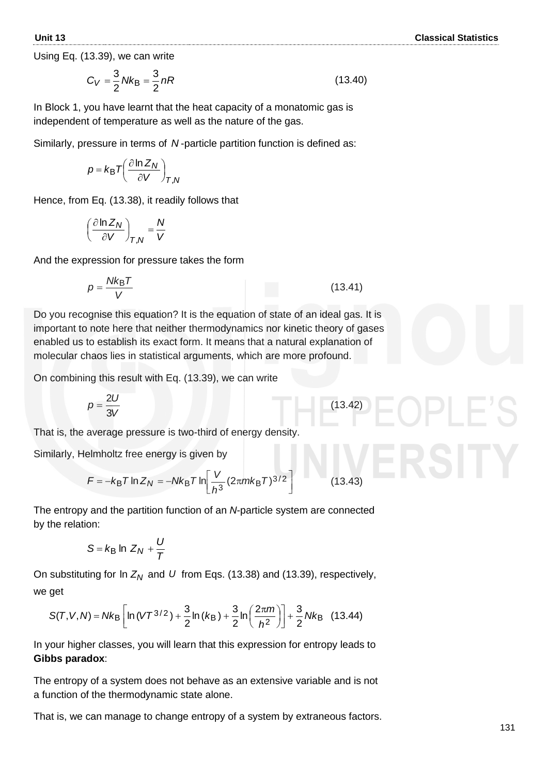**Unit 13 Classical Statistics**

Using Eq. (13.39), we can write

$$
C_V = \frac{3}{2} N k_B = \frac{3}{2} nR
$$
 (13.40)

In Block 1, you have learnt that the heat capacity of a monatomic gas is independent of temperature as well as the nature of the gas.

Similarly, pressure in terms of N-particle partition function is defined as:

$$
p = k_{\rm B} T \left( \frac{\partial \ln Z_N}{\partial V} \right)_{T,N}
$$

Hence, from Eq. (13.38), it readily follows that

$$
\left(\frac{\partial \ln Z_N}{\partial V}\right)_{T,N} = \frac{N}{V}
$$

And the expression for pressure takes the form

$$
p = \frac{Nk_{\rm B}T}{V} \tag{13.41}
$$

Do you recognise this equation? It is the equation of state of an ideal gas. It is important to note here that neither thermodynamics nor kinetic theory of gases enabled us to establish its exact form. It means that a natural explanation of molecular chaos lies in statistical arguments, which are more profound.

On combining this result with Eq. (13.39), we can write

$$
p = \frac{2U}{3V} \tag{13.42}
$$

That is, the average pressure is two-third of energy density.

Similarly, Helmholtz free energy is given by

$$
F = -k_{\rm B}T\ln Z_N = -Nk_{\rm B}T\ln\left[\frac{V}{h^3}(2\pi mk_{\rm B}T)^{3/2}\right]
$$
 (13.43)

The entropy and the partition function of an *N*-particle system are connected by the relation:

$$
S = k_{\text{B}} \ln Z_N + \frac{U}{T}
$$

On substituting for In  $Z_N$  and U from Eqs. (13.38) and (13.39), respectively, we get

$$
S(T, V, N) = Nk_B \left[ \ln (VT^{3/2}) + \frac{3}{2} \ln (k_B) + \frac{3}{2} \ln \left( \frac{2\pi m}{h^2} \right) \right] + \frac{3}{2} Nk_B \quad (13.44)
$$

In your higher classes, you will learn that this expression for entropy leads to **Gibbs paradox**:

The entropy of a system does not behave as an extensive variable and is not a function of the thermodynamic state alone.

That is, we can manage to change entropy of a system by extraneous factors.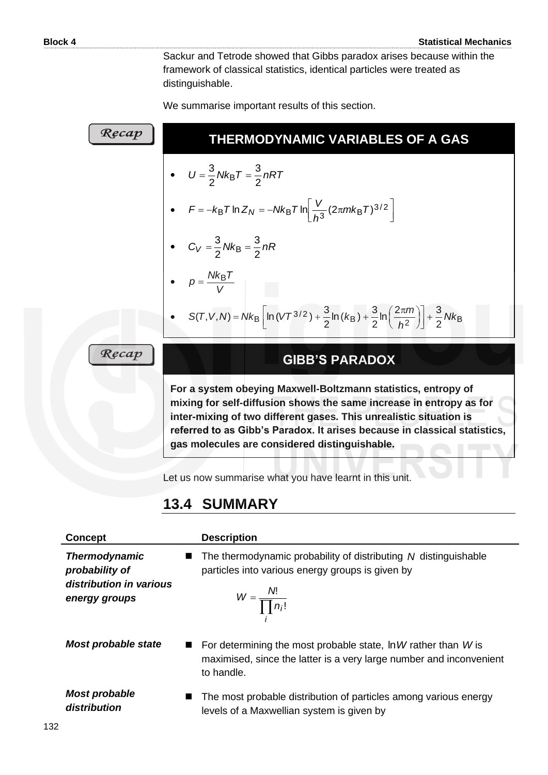Sackur and Tetrode showed that Gibbs paradox arises because within the framework of classical statistics, identical particles were treated as distinguishable.

We summarise important results of this section.

| Recap | THERMODYNAMIC VARIABLES OF A GAS                                                                                            |
|-------|-----------------------------------------------------------------------------------------------------------------------------|
|       | • $U = \frac{3}{2} N k_B T = \frac{3}{2} n R T$                                                                             |
|       | • $F = -k_B T \ln Z_N = -Nk_B T \ln \left  \frac{V}{h^3} (2\pi m k_B T)^{3/2} \right $                                      |
|       | • $C_V = \frac{3}{2} N k_B = \frac{3}{2} nR$                                                                                |
|       | • $p = \frac{Nk_{\rm B}T}{V}$                                                                                               |
|       | • S(T, V, N) = Nk <sub>B</sub> $\ln(VT^{3/2}) + \frac{3}{2}\ln(k_B) + \frac{3}{2}\ln(\frac{2\pi m}{h^2}) + \frac{3}{2}Nk_B$ |
| Recap | <b>GIBB'S PARADOX</b>                                                                                                       |
|       | For a system obeying Maxwell-Boltzmann statistics, entropy of                                                               |

**For a system obeying Maxwell-Boltzmann statistics, entropy of mixing for self-diffusion shows the same increase in entropy as for inter-mixing of two different gases. This unrealistic situation is referred to as Gibb's Paradox. It arises because in classical statistics, gas molecules are considered distinguishable.** 

Let us now summarise what you have learnt in this unit.

# **13.4 SUMMARY**

| <b>Concept</b>                                                                     | <b>Description</b>                                                                                                                                     |
|------------------------------------------------------------------------------------|--------------------------------------------------------------------------------------------------------------------------------------------------------|
| <b>Thermodynamic</b><br>probability of<br>distribution in various<br>energy groups | The thermodynamic probability of distributing N distinguishable<br>particles into various energy groups is given by<br>$W = \frac{N!}{\prod n_i!}$     |
| Most probable state                                                                | For determining the most probable state, $\ln W$ rather than W is<br>maximised, since the latter is a very large number and inconvenient<br>to handle. |
| <b>Most probable</b><br>distribution                                               | The most probable distribution of particles among various energy<br>levels of a Maxwellian system is given by                                          |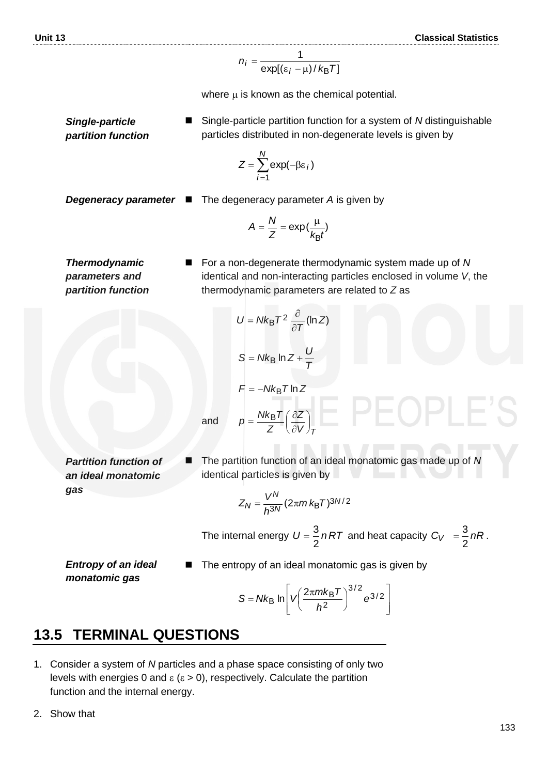$$
n_i = \frac{1}{\exp[(\varepsilon_i - \mu)/k_B T]}
$$

where  $\mu$  is known as the chemical potential.

◼ Single-particle partition function for a system of *N* distinguishable particles distributed in non-degenerate levels is given by

$$
Z = \sum_{i=1}^{N} \exp(-\beta \varepsilon_i)
$$

*Degeneracy parameter* 

*Single-particle partition function*

$$
·
$$
 ■ The degeneracy parameter A is given by

 $U = Nk_{\rm B}T^2 \frac{\partial}{\partial T} (\ln Z)$  $U = Nk_B$ <sup> $T$ </sup>

=  $Nk_{\rm B}T^2 \frac{\partial}{\partial t}$ 

 $S = Nk_B \ln Z + \frac{U}{T}$ 

 $F = -Nk_B T \ln Z$ 

*Z*  $p = \frac{Nk_{\rm B}T}{Z} \left(\frac{\partial Z}{\partial V}\right)$ 

 $=\frac{Nk_{\rm B}T}{T}\left(\frac{\partial}{\partial t}\right)$ 

$$
A = \frac{N}{Z} = \exp\left(\frac{\mu}{k_B t}\right)
$$

 $\partial$ 

*T*

*V <sup>T</sup> Z*

 $\left(\frac{\partial Z}{\partial V}\right)$ ſ  $\partial$ 

*Thermodynamic parameters and partition function* ◼ For a non-degenerate thermodynamic system made up of *N* identical and non-interacting particles enclosed in volume *V*, the thermodynamic parameters are related to *Z* as

*Partition function of an ideal monatomic gas*

◼ The partition function of an ideal monatomic gas made up of *N* identical particles is given by

$$
Z_N = \frac{V^N}{h^{3N}} (2\pi m k_\text{B} T)^{3N/2}
$$

The internal energy  $U = \frac{6}{5} nRT$ 2  $=\frac{3}{2}nRT$  and heat capacity  $C_V = \frac{3}{2}nR$  $=\frac{3}{3}nR$ .

*Entropy of an ideal monatomic gas*

The entropy of an ideal monatomic gas is given by

$$
S = Nk_B \ln \left[ V \left( \frac{2\pi m k_B T}{h^2} \right)^{3/2} e^{3/2} \right]
$$

# **13.5 TERMINAL QUESTIONS**

1. Consider a system of *N* particles and a phase space consisting of only two levels with energies 0 and  $\epsilon$  ( $\epsilon$  > 0), respectively. Calculate the partition function and the internal energy.

and

2. Show that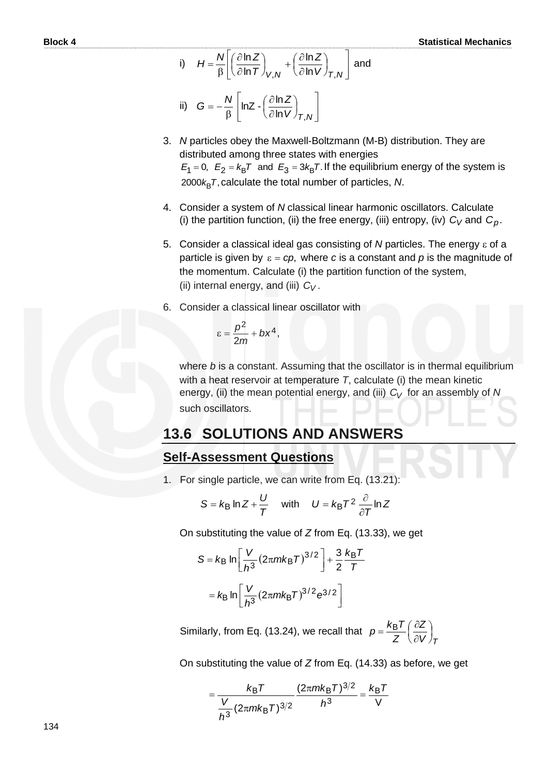i) 
$$
H = \frac{N}{\beta} \left[ \left( \frac{\partial \ln Z}{\partial \ln T} \right)_{V,N} + \left( \frac{\partial \ln Z}{\partial \ln V} \right)_{T,N} \right]
$$
 and

ii) 
$$
G = -\frac{N}{\beta} \left[ lnZ - \left( \frac{\partial lnZ}{\partial lnV} \right)_{T,N} \right]
$$

- 3. *N* particles obey the Maxwell-Boltzmann (M-B) distribution. They are distributed among three states with energies distributed arriong trifee states with energies<br> $E_1 = 0$ ,  $E_2 = k_B T$  and  $E_3 = 3k_B T$ . If the equilibrium energy of the system is 2000 $k_\mathsf{B}$ T, calculate the total number of particles, *N*.
- 4. Consider a system of *N* classical linear harmonic oscillators. Calculate (i) the partition function, (ii) the free energy, (iii) entropy, (iv)  $C_V$  and  $C_p$ .
- 5. Consider a classical ideal gas consisting of *N* particles. The energy *ε* of a particle is given by  $\varepsilon$  =  $c$ p, where c is a constant and p is the magnitude of the momentum. Calculate (i) the partition function of the system, (ii) internal energy, and (iii) *CV* .
- 6. Consider a classical linear oscillator with

$$
\varepsilon=\frac{p^2}{2m}+bx^4,
$$

where *b* is a constant. Assuming that the oscillator is in thermal equilibrium with a heat reservoir at temperature *T*, calculate (i) the mean kinetic energy, (ii) the mean potential energy, and (iii)  $C_V$  for an assembly of  $N$ such oscillators.

# **13.6 SOLUTIONS AND ANSWERS**

#### **Self-Assessment Questions**

1. For single particle, we can write from Eq. (13.21):

$$
S = k_{\text{B}} \ln Z + \frac{U}{T} \quad \text{with} \quad U = k_{\text{B}} T^2 \frac{\partial}{\partial T} \ln Z
$$

On substituting the value of *Z* from Eq. (13.33), we get

$$
S = k_{\text{B}} \ln \left[ \frac{V}{h^3} (2\pi m k_{\text{B}} T)^{3/2} \right] + \frac{3}{2} \frac{k_{\text{B}} T}{T}
$$

$$
= k_{\text{B}} \ln \left[ \frac{V}{h^3} (2\pi m k_{\text{B}} T)^{3/2} e^{3/2} \right]
$$

Similarly, from Eq. (13.24), we recall that *V <sup>T</sup> Z Z*  $p = \frac{k_B T}{Z} \left(\frac{\partial Z}{\partial V}\right)$  $\left(\frac{\partial Z}{\partial V}\right)$ ſ  $\tilde{c}$  $=\frac{k_{\rm B}T}{\pi}\left(\frac{\partial}{\partial r}\right)$ 

On substituting the value of *Z* from Eq. (14.33) as before, we get

$$
=\frac{k_{\rm B}T}{\frac{V}{h^3}(2\pi mk_{\rm B}T)^{3/2}}\frac{(2\pi mk_{\rm B}T)^{3/2}}{h^3}=\frac{k_{\rm B}T}{V}
$$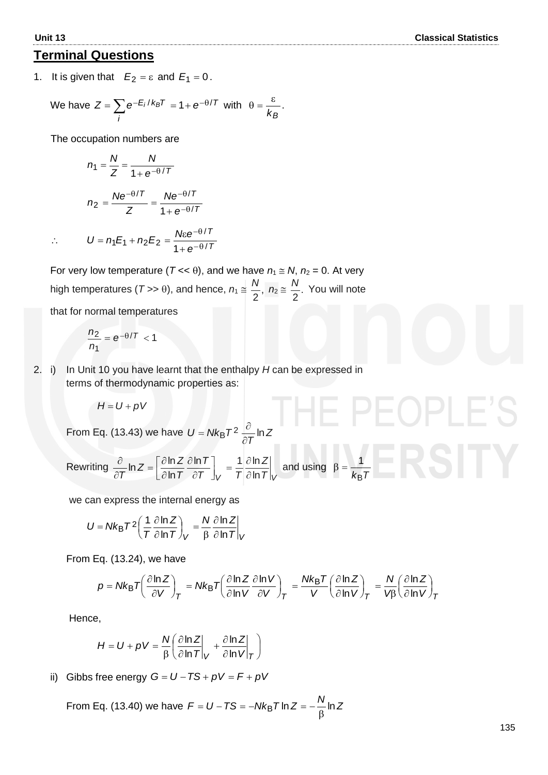# **Terminal Questions**

1. It is given that  $E_2 = \varepsilon$  and  $E_1 = 0$ .

We have 
$$
Z = \sum_{i} e^{-E_i/k_B T} = 1 + e^{-\theta/T}
$$
 with  $\theta = \frac{\varepsilon}{k_B}$ .

The occupation numbers are

$$
n_1 = \frac{N}{Z} = \frac{N}{1 + e^{-\theta/T}}
$$

$$
n_2 = \frac{Ne^{-\theta/T}}{Z} = \frac{Ne^{-\theta/T}}{1 + e^{-\theta/T}}
$$

$$
\therefore U = n_1 E_1 + n_2 E_2 = \frac{N \varepsilon e^{-\theta/T}}{1 + e^{-\theta/T}}
$$

For very low temperature ( $T \ll \theta$ ), and we have  $n_1 \approx N$ ,  $n_2 = 0$ . At very high temperatures ( $T >> \theta$ ), and hence,  $n_1 \approx \frac{N}{2}$ , 2  $\frac{N}{2}$ ,  $n_2 \approx \frac{N}{2}$ . 2  $\frac{N}{2}$ . You will note

*T*

that for normal temperatures

$$
\frac{n_2}{n_1} = e^{-\theta/T} < 1
$$

2. i) In Unit 10 you have learnt that the enthalpy *H* can be expressed in terms of thermodynamic properties as:

$$
H = U + pV
$$

From Eq. (13.43) we have  $U = Nk_B T^2 \frac{N}{2\pi} \ln Z$ *T*  $U = Nk_B T^2 \frac{\partial}{\partial T} \ln$  $=Nk_{\rm B}T^2\frac{\partial}{\partial t}$ 

Rewriting 
$$
\frac{\partial}{\partial T} \ln Z = \left[ \frac{\partial \ln Z}{\partial \ln T} \frac{\partial \ln T}{\partial T} \right]_V = \frac{1}{T} \frac{\partial \ln Z}{\partial \ln T} \Big|_V
$$
 and using  $\beta = \frac{1}{k_B T}$ 

we can express the internal energy as

$$
U = Nk_{\text{B}}T^{2} \left( \frac{1}{T} \frac{\partial \ln Z}{\partial \ln T} \right)_{V} = \frac{N}{\beta} \frac{\partial \ln Z}{\partial \ln T} \bigg|_{V}
$$

From Eq. (13.24), we have

$$
p = Nk_B T \left(\frac{\partial \ln Z}{\partial V} \right)_T = Nk_B T \left(\frac{\partial \ln Z}{\partial \ln V} \frac{\partial \ln V}{\partial V} \right)_T = \frac{Nk_B T}{V} \left(\frac{\partial \ln Z}{\partial \ln V} \right)_T = \frac{N}{V\beta} \left(\frac{\partial \ln Z}{\partial \ln V} \right)_T
$$

Hence,

$$
H = U + pV = \frac{N}{\beta} \left( \frac{\partial \ln Z}{\partial \ln T} \bigg|_V + \frac{\partial \ln Z}{\partial \ln V} \bigg|_T \right)
$$

ii) Gibbs free energy  $G = U - TS + pV = F + pV$ 

From Eq. (13.40) we have  $\mathcal{F} = U - T S = -N k_\text{B} T \ln Z = -\frac{N}{\beta} \ln Z$ = *U − TS = −Nk*<sub>B</sub>*T* In *Z = −*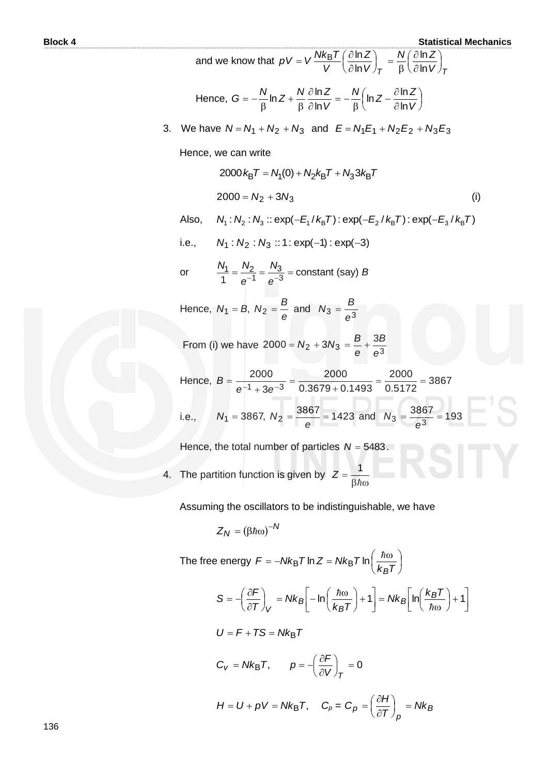**Block 4** Statistical Mechanics

and we know that 
$$
pV = V \frac{Nk_B T}{V} \left(\frac{\partial \ln Z}{\partial \ln V}\right)_T = \frac{N}{\beta} \left(\frac{\partial \ln Z}{\partial \ln V}\right)_T
$$
  
\nHence,  $G = -\frac{N}{\beta} \ln Z + \frac{N}{\beta} \frac{\partial \ln Z}{\partial \ln V} = -\frac{N}{\beta} \left(\ln Z - \frac{\partial \ln Z}{\partial \ln V}\right)$   
\n3. We have  $N = N_1 + N_2 + N_3$  and  $E = N_1 E_1 + N_2 E_2 + N_3 E_3$   
\nHence, we can write  
\n
$$
2000 k_B T = N_1(0) + N_2 k_B T + N_3 3 k_B T
$$
\n
$$
2000 = N_2 + 3N_3
$$
\n(l) Also,  $N_1 : N_2 : N_3 :: exp(-E_1/k_B T) : exp(-E_2/k_B T) : exp(-E_3/k_B T)$   
\ni.e.,  $N_1 : N_2 : N_3 :: 1 : exp(-1) : exp(-3)$   
\nor  $\frac{N_1}{1} = \frac{N_2}{e^{-1}} = \frac{N_3}{e^{-3}} = \text{constant (say) } B$   
\nHence,  $N_1 = B, N_2 = \frac{B}{e}$  and  $N_3 = \frac{B}{e^3}$   
\nFrom (i) we have  $2000 = N_2 + 3N_3 = \frac{B}{e} + \frac{3B}{e^3}$   
\nHence,  $B = \frac{2000}{e^{-1} + 3e^{-3}} = \frac{2000}{0.3679 + 0.1493} = \frac{2000}{0.5172} = 3867$   
\ni.e.,  $N_1 = 3867, N_2 = \frac{3867}{e} = 1423$  and  $N_3 = \frac{3867}{e^3} = 193$   
\nHence, the total number of particles  $N = 5483$ .  
\n4. The partition function is given by  $Z = \frac{1}{\beta h\omega}$ 

Assuming the oscillators to be indistinguishable, we have

$$
Z_N = (\beta \hbar \omega)^{-N}
$$

The free energy  $F = -Nk_{\rm B}T \ln Z = Nk_{\rm B}T \ln \left| \frac{R}{L} \right|$ J  $\left(\frac{\hbar\omega}{l\omega T}\right)$ l =  $-Nk_{\mathsf{B}}T\ln Z=Nk_{\mathsf{B}}T\ln\left(\frac{\hbar\omega}{L}\right)$ *Tk*  $F = -Nk_B T \ln Z = Nk_B T$ *B*  $E_{\rm B}$ T ln Z = Nk<sub>B</sub>T ln $\left(\frac{\hbar}{L}\right)$  $\begin{array}{c} \hline \end{array}$  $\overline{\phantom{a}}$ L  $\left\lfloor \ln\left(\frac{k_BT}{\hbar\omega}\right) + \right\rfloor$  $\left(\frac{k_B T}{\hbar \omega}\right)$ ſ  $= N k_B \left[ ln \left( \frac{R}{\hbar \omega} \right) \right]$  L  $\left(-\ln\left(\frac{\hbar\omega}{l\omega}\right)+\right)$ J  $\left(\frac{\hbar\omega}{1-\tau}\right)$  $\setminus$  $\int_V = Nk_B \left[ -\ln\left(\frac{\hbar\omega}{k_B}\right) \right]$  $\left(\frac{\partial \digamma}{\partial \mathcal{T}}\right)$ ſ  $\hat{c}$  $=\left(\frac{\partial F}{\partial T}\right)^{n} = Nk_{B}\left[-\ln\left(\frac{\hbar\omega}{T}\right)+1\right] = Nk_{B}\left[\ln\left(\frac{k_{B}T}{T}\right)+1\right]$ ħ  $\left[\frac{\hbar\omega}{T}\right] + 1$  =  $Nk_B\left[\ln\left(\frac{k_B T}{I}\right)\right]$ *Tk Nk T*  $S = -\left(\frac{\partial F}{\partial T}\right) = Nk_B \left[-\ln\left(\frac{\hbar \omega}{k T}\right) + 1\right] = Nk_B \left[\ln\left(\frac{k_B}{k T}\right)\right]$ *B B V*  $U = F + TS = Nk_BT$  $C_V = Nk_B T$ ,  $p = -\left(\frac{\partial T}{\partial V}\right)_T = 0$  $\left(\frac{\partial \digamma}{\partial V}\right)$ ſ  $\hat{o}$  $=\frac{\partial}{\partial t}$ *V <sup>T</sup>*  $p = -\left(\frac{\partial F}{\partial x}\right)$  $H = U + pV = Nk_BT$ ,  $C_p = C_p = \frac{VH}{2T}$  = Nk<sub>B</sub> *p*  $p = \left(\frac{\partial H}{\partial T}\right)_D = Nk$  $C_p = \left(\frac{\partial H}{\partial T}\right)_p =$  $\left(\frac{\partial H}{\partial T}\right)$ ſ  $\hat{o}$  $=\left(\frac{\partial}{\partial x}\right)^2$ 

136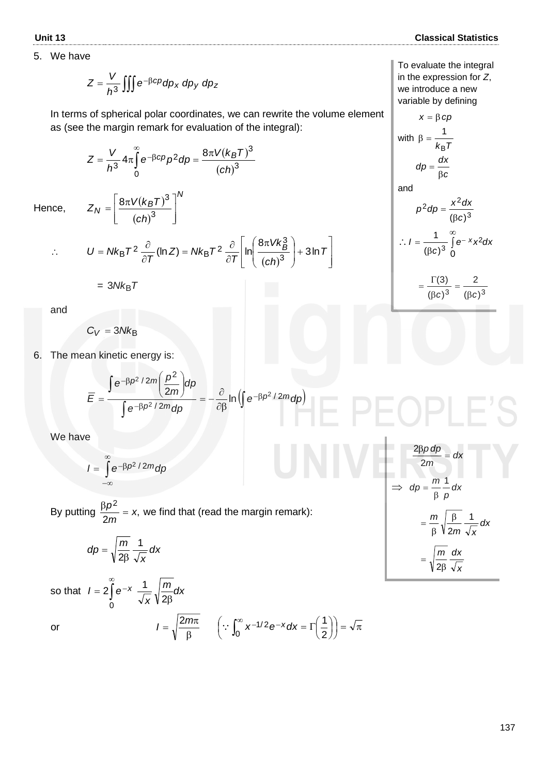5. We have

$$
Z = \frac{V}{h^3} \iiint e^{-\beta cp} dp_x \, dp_y \, dp_z
$$

In terms of spherical polar coordinates, we can rewrite the volume element as (see the margin remark for evaluation of the integral):

$$
Z = \frac{V}{h^3} 4\pi \int_{0}^{\infty} e^{-\beta c\rho} \rho^2 d\rho = \frac{8\pi V (k_B T)^3}{(c h)^3}
$$

*N*

 $\overline{\phantom{a}}$  $\overline{\phantom{a}}$  $\overline{\phantom{a}}$ 

 $\overline{\phantom{a}}$ 

 $(k_BT)^3$ ]<sup>'</sup>

 $\overline{(ch)^3}$ 

Hence,

 $\ddot{\cdot}$ 

$$
U = Nk_{\text{B}}T^{2} \frac{\partial}{\partial T} (\ln Z) = Nk_{\text{B}}T^{2} \frac{\partial}{\partial T} \left[ \ln \left( \frac{8\pi V k_{\text{B}}^{3}}{\left( ch\right)^{3}} \right) + 3 \ln T \right]
$$

$$
= 3Nk_{\rm B}T
$$

 $K_N = \left[\frac{\text{on } V(K_B)}{(ch)^2}\right]$  $Z_N = \frac{8\pi V (k_B T)^2}{2}$ 

 $=\frac{8\pi V(k_B)}{(ch)^3}$ 8 $\pi V (k_B T)^3$ 

L  $\mathbf{r}$  $\overline{\phantom{a}}$ 

and

$$
C_V = 3Nk_B
$$

6. The mean kinetic energy is:

$$
\overline{E} = \frac{\int e^{-\beta p^2/2m} \left(\frac{p^2}{2m}\right) dp}{\int e^{-\beta p^2/2m} dp} = -\frac{\partial}{\partial \beta} \ln \left(\int e^{-\beta p^2/2m} dp\right)
$$

We have

$$
I=\int_{-\infty}^{\infty}e^{-\beta p^2/2m}dp
$$

By putting  $\frac{PP}{2} = x$ , 2 2 *x m*  $\frac{\beta \rho^2}{\rho}$  = x, we find that (read the margin remark):

$$
dp = \sqrt{\frac{m}{2\beta}} \frac{1}{\sqrt{x}} dx
$$

so that  $|I=2|$  $\infty$ = 2  $\int e^{-}$ 0  $l = 2 \int e^{-x} \frac{1}{\sqrt{2}} \sqrt{\frac{m}{2}} dx$  $\overline{\mathsf{x}}$   $\mathsf{V}$  2 $\mathsf{\beta}$ 1 or β  $I = \sqrt{\frac{2m\pi}{\beta}}$   $\left(\because \int_0^\infty x^{-1/2} e^{-x} dx = \Gamma\left(\frac{1}{2}\right)\right) = \sqrt{\pi}$  $\left(\because \int_0^\infty x^{-1/2} e^{-x} dx = \Gamma\left(\frac{1}{2}\right)\right)$  $\left(\because \int_0^\infty x^{-1/2} e^{-x} dx = \Gamma\left(\frac{1}{2}\right)\right)$  $\left(\frac{1}{2}\right)$  $\int_0^\infty x^{-1/2} e^{-x} dx = \Gamma\left($ 0  $1/2$ 2  $\therefore \int_{0}^{\infty} x^{-1/2} e^{-x} dx = \Gamma\left(\frac{1}{2}\right)$ 

To evaluate the integral in the expression for *Z*, we introduce a new variable by defining

$$
x = \beta cp
$$
  
with 
$$
\beta = \frac{1}{k_B T}
$$

$$
dp = \frac{dx}{\beta c}
$$

and

$$
p^2 dp = \frac{x^2 dx}{(\beta c)^3}
$$

$$
\therefore I = \frac{1}{(\beta c)^3} \int_0^\infty e^{-x} x^2 dx
$$

$$
=\frac{\Gamma(3)}{(\beta c)^3}=\frac{2}{(\beta c)^3}
$$

$$
\frac{2\beta p dp}{2m} = dx
$$
  
\n
$$
\Rightarrow dp = \frac{m}{\beta} \frac{1}{p} dx
$$
  
\n
$$
= \frac{m}{\beta} \sqrt{\frac{\beta}{2m}} \frac{1}{\sqrt{x}} dx
$$
  
\n
$$
= \sqrt{\frac{m}{2\beta}} \frac{dx}{\sqrt{x}}
$$